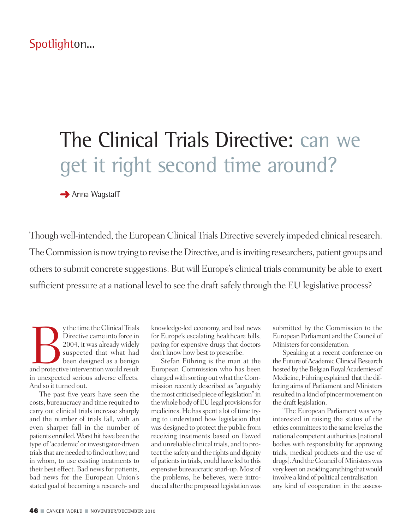# The Clinical Trials Directive: can we get it right second time around?

**→** Anna Wagstaff

Though well-intended, the European Clinical Trials Directive severely impeded clinical research. The Commission is now trying to revise the Directive, and is inviting researchers, patient groups and others to submit concrete suggestions. But will Europe's clinical trials community be able to exert sufficient pressure at a national level to see the draft safely through the EU legislative process?

y the time the Clinical Trials<br>Directive came into force in<br>2004, it was already widely<br>suspected that what had<br>been designed as a benign<br>and protective intervention would result Directive came into force in 2004, it was already widely suspected that what had been designed as a benign in unexpected serious adverse effects. And so it turned out.

The past five years have seen the costs, bureaucracy and time required to carry out clinical trials increase sharply and the number of trials fall, with an even sharper fall in the number of patients enrolled. Worst hit have been the type of 'academic' or investigator-driven trials that are needed to find out how, and in whom, to use existing treatments to their best effect. Bad news for patients, bad news for the European Union's stated goal of becoming a research- and

knowledge-led economy, and bad news for Europe's escalating healthcare bills, paying for expensive drugs that doctors don't know how best to prescribe.

Stefan Führing is the man at the European Commission who has been charged with sorting out what the Commission recently described as "arguably the most criticised piece of legislation" in the whole body of EU legal provisions for medicines. He has spent a lot of time trying to understand how legislation that was designed to protect the public from receiving treatments based on flawed and unreliable clinical trials, and to protect the safety and the rights and dignity of patientsin trials, could have led to this expensive bureaucratic snarl-up.Most of the problems, he believes, were introduced after the proposed legislation was

submitted by the Commission to the European Parliament and the Council of Ministers for consideration.

Speaking at a recent conference on the Future of Academic Clinical Research hosted by the Belgian Royal Academies of Medicine, Führing explained that the differing aims of Parliament and Ministers resulted in a kind of pincer movement on the draft legislation.

"The European Parliament was very interested in raising the status of the ethics committees to the same level as the national competent authorities [national bodies with responsibility for approving trials, medical products and the use of drugs]. And the Council of Ministers was very keen on avoiding anything that would involve a kind of political centralisation – any kind of cooperation in the assess-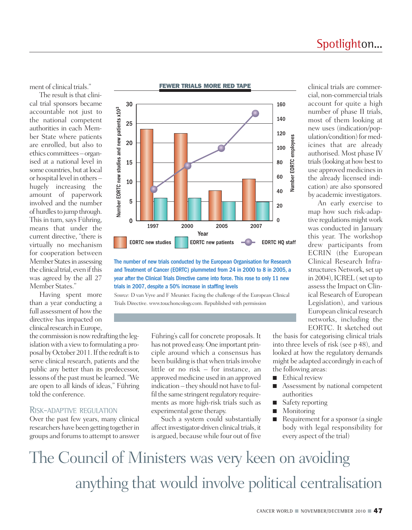### Spotlighton...

ment of clinical trials."

The result is that clinical trial sponsors became accountable not just to the national competent authorities in each Member State where patients are enrolled, but also to ethics committees – organised at a national level in some countries, but at local or hospital level in others – hugely increasing the amount of paperwork involved and the number of hurdles to jump through. This in turn, says Führing, means that under the current directive, "there is virtually no mechanism for cooperation between Member States in assessing the clinical trial, even if this was agreed by the all 27 Member States."

Having spent more than a year conducting a full assessment of howthe directive has impacted on clinical research in Europe,

the commission is now redrafting the legislation with a view to formulating a proposal by October 2011. If the redraft is to serve clinical research, patients and the public any better than its predecessor, lessons of the past must be learned."We are open to all kinds of ideas," Führing told the conference.

#### RISK-ADAPTIVE REGULATION

Over the past few years, many clinical researchers have been getting togetherin groups and forums to attempt to answer



The number of new trials conducted by the European Organisation for Research and Treatment of Cancer (EORTC) plummeted from 24 in 2000 to 8 in 2005, a year after the Clinical Trials Directive came into force. This rose to only 11 new trials in 2007, despite a 50% increase in staffing levels

*Source:* D van Vyve and F Meunier. Facing the challenge of the European Clinical Trials Directive. www.touchoncology.com. Republished with permission

> Führing's call for concrete proposals. It has not proved easy.One important principle around which a consensus has been building is that when trials involve little or no risk – for instance, an approved medicine used in an approved indication – they should not have to fulfil the same stringent regulatory requirements as more high-risk trials such as experimental gene therapy.

> Such a system could substantially affect investigator-driven clinical trials, it is argued, becausewhile four out of five

clinical trials are commercial, non-commercial trials account for quite a high number of phase II trials, most of them looking at new uses (indication/population/condition) for medicines that are already authorised. Most phase IV trials (looking at how best to use approved medicines in the already licensed indication) are also sponsored by academic investigators.

An early exercise to map how such risk-adaptive regulations might work was conducted in January this year. The workshop drew participants from ECRIN (the European Clinical Research Infrastructures Network, set up in 2004), ICREL  $($ set up to assessthe Impact on Clinical Research of European Legislation), and various European clinical research networks, including the EORTC. It sketched out

the basis for categorising clinical trials into three levels of risk (see p 48), and looked at how the regulatory demands might be adapted accordingly in each of the following areas:

- Ethical review
- Assessment by national competent authorities
- Safety reporting
- **■** Monitoring
- Requirement for a sponsor (a single body with legal responsibility for every aspect of the trial)

The Council of Ministers was very keen on avoiding anything that would involve political centralisation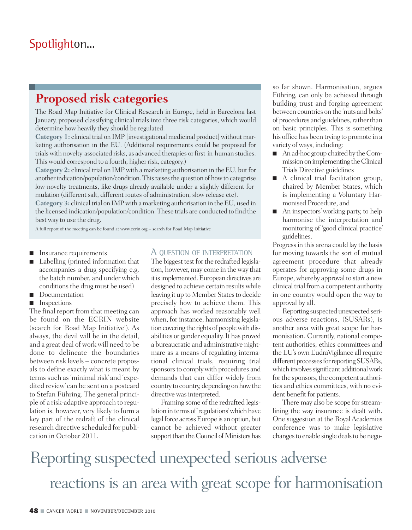### **Proposed risk categories**

The Road Map Initiative for Clinical Research in Europe, held in Barcelona last January, proposed classifying clinical trials into three risk categories, which would determine how heavily they should be regulated.

**Category 1:** clinical trial on IMP [investigational medicinal product] without marketing authorisation in the EU. (Additional requirements could be proposed for trials with novelty-associated risks, as advanced therapies or first-in-human studies. This would correspond to a fourth, higher risk, category.)

**Category 2:** clinical trial on IMP with a marketing authorisation in the EU, but for another indication/population/condition. This raises the question of how to categorise low-novelty treatments, like drugs already available under a slightly different formulation (different salt, different routes of administration, slow release etc).

**Category** 3: clinical trial on IMP with a marketing authorisation in the EU, used in the licensed indication/population/condition. These trials are conducted to find the best way to use the drug.

A full report of the meeting can be found at www.ecrin.org – search for Road Map Initiative

- Insurance requirements
- **■** Labelling (printed information that accompanies a drug specifying e.g. the batch number, and under which conditions the drug must be used)
- Documentation
- Inspections

The final report from that meeting can be found on the ECRIN website (search for 'Road Map Initiative'). As always, the devil will be in the detail, and a great deal of work will need to be done to delineate the boundaries between risk levels – concrete proposals to define exactly what is meant by terms such as 'minimal risk' and 'expedited review' can be sent on a postcard to Stefan Führing. The general principle of a risk-adaptive approach to regulation is, however, very likely to form a key part of the redraft of the clinical research directive scheduled for publication in October 2011.

#### A QUESTION OF INTERPRETATION

The biggest test for the redrafted legislation, however, may come in theway that it is implemented. European directives are designed to achieve certain resultswhile leaving it up to Member States to decide precisely how to achieve them. This approach has worked reasonably well when, for instance, harmonising legislation covering the rights of people with disabilities or gender equality.It has proved a bureaucratic and administrative nightmare as a means of regulating international clinical trials, requiring trial sponsors to comply with procedures and demands that can differ widely from country to country, depending on how the directive was interpreted.

Framing some of the redrafted legislation in terms of'regulations'which have legal force across Europe is an option, but cannot be achieved without greater support than the Council of Ministers has

so far shown. Harmonisation, argues Führing, can only be achieved through building trust and forging agreement between countries on the 'nuts and bolts' of procedures and guidelines, rather than on basic principles. This is something his office has been trying to promote in a variety of ways, including:

- An ad-hoc group chaired by the Commissiononimplementing theClinical Trials Directive guidelines
- A clinical trial facilitation group, chaired by Member States, which is implementing a Voluntary Harmonised Procedure, and
- **■** An inspectors'working party, to help harmonise the interpretation and monitoring of 'good clinical practice' guidelines.

Progress in this arena could lay the basis for moving towards the sort of mutual agreement procedure that already operates for approving some drugs in Europe,whereby approval to start a new clinical trial from a competent authority in one country would open the way to approval by all.

Reporting suspected unexpected serious adverse reactions, (SUSARs), is another area with great scope for harmonisation. Currently, national competent authorities, ethics committees and the EU's own EudraVigilance all require different processes for reporting SUSARs, which involves significant additional work for the sponsors, the competent authorities and ethics committees, with no evident benefit for patients.

There may also be scope for streamlining the way insurance is dealt with. One suggestion at the Royal Academies conference was to make legislative changes to enable single deals to be nego-

## Reporting suspected unexpected serious adverse reactions is an area with great scope for harmonisation